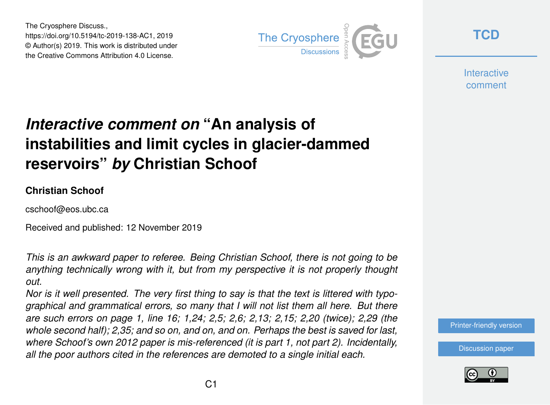The Cryosphere Discuss., https://doi.org/10.5194/tc-2019-138-AC1, 2019 © Author(s) 2019. This work is distributed under the Creative Commons Attribution 4.0 License.



**[TCD](https://www.the-cryosphere-discuss.net/)**

**Interactive** comment

# *Interactive comment on* **"An analysis of instabilities and limit cycles in glacier-dammed reservoirs"** *by* **Christian Schoof**

#### **Christian Schoof**

cschoof@eos.ubc.ca

Received and published: 12 November 2019

*This is an awkward paper to referee. Being Christian Schoof, there is not going to be anything technically wrong with it, but from my perspective it is not properly thought out.*

*Nor is it well presented. The very first thing to say is that the text is littered with typographical and grammatical errors, so many that I will not list them all here. But there are such errors on page 1, line 16; 1,24; 2,5; 2,6; 2,13; 2,15; 2,20 (twice); 2,29 (the whole second half); 2,35; and so on, and on, and on. Perhaps the best is saved for last, where Schoof's own 2012 paper is mis-referenced (it is part 1, not part 2). Incidentally, all the poor authors cited in the references are demoted to a single initial each.*



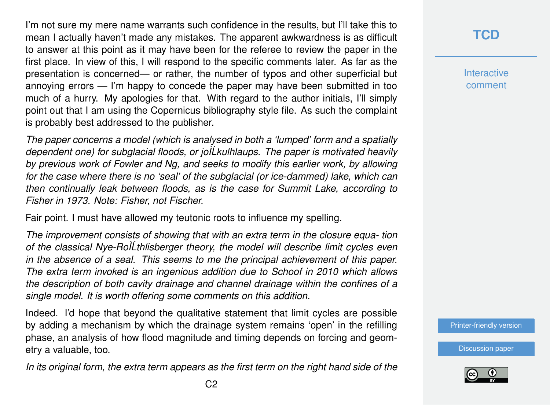I'm not sure my mere name warrants such confidence in the results, but I'll take this to mean I actually haven't made any mistakes. The apparent awkwardness is as difficult to answer at this point as it may have been for the referee to review the paper in the first place. In view of this, I will respond to the specific comments later. As far as the presentation is concerned— or rather, the number of typos and other superficial but annoying errors — I'm happy to concede the paper may have been submitted in too much of a hurry. My apologies for that. With regard to the author initials, I'll simply point out that I am using the Copernicus bibliography style file. As such the complaint is probably best addressed to the publisher.

*The paper concerns a model (which is analysed in both a 'lumped' form and a spatially dependent one) for subglacial floods, or joÌLkulhlaups. The paper is motivated heavily ´ by previous work of Fowler and Ng, and seeks to modify this earlier work, by allowing for the case where there is no 'seal' of the subglacial (or ice-dammed) lake, which can then continually leak between floods, as is the case for Summit Lake, according to Fisher in 1973. Note: Fisher, not Fischer.*

Fair point. I must have allowed my teutonic roots to influence my spelling.

*The improvement consists of showing that with an extra term in the closure equa- tion of the classical Nye-RoÌLthlisberger theory, the model will describe limit cycles even ´ in the absence of a seal. This seems to me the principal achievement of this paper. The extra term invoked is an ingenious addition due to Schoof in 2010 which allows the description of both cavity drainage and channel drainage within the confines of a single model. It is worth offering some comments on this addition.*

Indeed. I'd hope that beyond the qualitative statement that limit cycles are possible by adding a mechanism by which the drainage system remains 'open' in the refilling phase, an analysis of how flood magnitude and timing depends on forcing and geometry a valuable, too.

*In its original form, the extra term appears as the first term on the right hand side of the*

**[TCD](https://www.the-cryosphere-discuss.net/)**

**Interactive** comment

[Printer-friendly version](https://www.the-cryosphere-discuss.net/tc-2019-138/tc-2019-138-AC1-print.pdf)

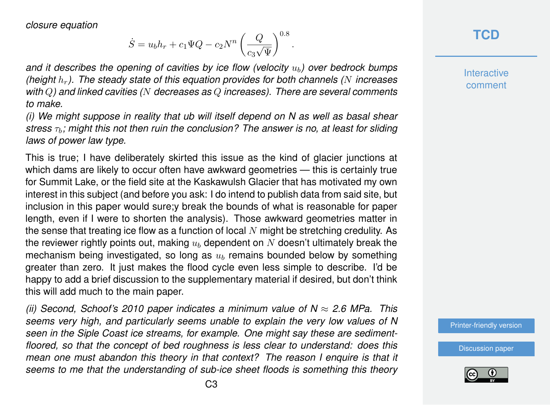*closure equation*

$$
\dot{S} = u_b h_r + c_1 \Psi Q - c_2 N^n \left(\frac{Q}{c_3 \sqrt{\Psi}}\right)^{0.8}
$$

.

*and it describes the opening of cavities by ice flow (velocity*  $u<sub>b</sub>$ ) over bedrock bumps *(height* hr*). The steady state of this equation provides for both channels (*N *increases with* Q*) and linked cavities (*N *decreases as* Q *increases). There are several comments to make.*

*(i) We might suppose in reality that ub will itself depend on N as well as basal shear stress*  $τ<sub>b</sub>$ *; might this not then ruin the conclusion? The answer is no, at least for sliding laws of power law type.*

This is true; I have deliberately skirted this issue as the kind of glacier junctions at which dams are likely to occur often have awkward geometries — this is certainly true for Summit Lake, or the field site at the Kaskawulsh Glacier that has motivated my own interest in this subject (and before you ask: I do intend to publish data from said site, but inclusion in this paper would sure;y break the bounds of what is reasonable for paper length, even if I were to shorten the analysis). Those awkward geometries matter in the sense that treating ice flow as a function of local  $N$  might be stretching credulity. As the reviewer rightly points out, making  $u<sub>b</sub>$  dependent on N doesn't ultimately break the mechanism being investigated, so long as  $u<sub>b</sub>$  remains bounded below by something greater than zero. It just makes the flood cycle even less simple to describe. I'd be happy to add a brief discussion to the supplementary material if desired, but don't think this will add much to the main paper.

*(ii) Second, Schoof's 2010 paper indicates a minimum value of N* ≈ *2.6 MPa. This seems very high, and particularly seems unable to explain the very low values of N seen in the Siple Coast ice streams, for example. One might say these are sedimentfloored, so that the concept of bed roughness is less clear to understand: does this mean one must abandon this theory in that context? The reason I enquire is that it seems to me that the understanding of sub-ice sheet floods is something this theory* **Interactive** comment

[Printer-friendly version](https://www.the-cryosphere-discuss.net/tc-2019-138/tc-2019-138-AC1-print.pdf)

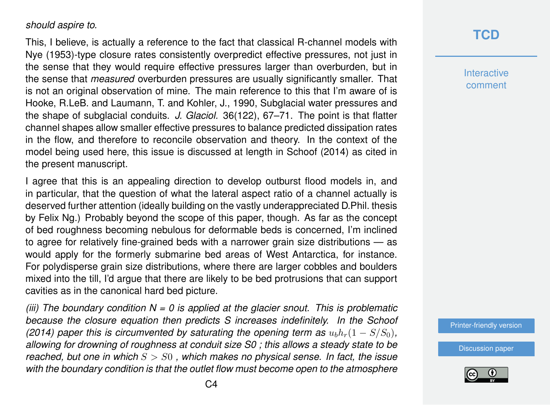#### *should aspire to.*

This, I believe, is actually a reference to the fact that classical R-channel models with Nye (1953)-type closure rates consistently overpredict effective pressures, not just in the sense that they would require effective pressures larger than overburden, but in the sense that *measured* overburden pressures are usually significantly smaller. That is not an original observation of mine. The main reference to this that I'm aware of is Hooke, R.LeB. and Laumann, T. and Kohler, J., 1990, Subglacial water pressures and the shape of subglacial conduits. *J. Glaciol.* 36(122), 67–71. The point is that flatter channel shapes allow smaller effective pressures to balance predicted dissipation rates in the flow, and therefore to reconcile observation and theory. In the context of the model being used here, this issue is discussed at length in Schoof (2014) as cited in the present manuscript.

I agree that this is an appealing direction to develop outburst flood models in, and in particular, that the question of what the lateral aspect ratio of a channel actually is deserved further attention (ideally building on the vastly underappreciated D.Phil. thesis by Felix Ng.) Probably beyond the scope of this paper, though. As far as the concept of bed roughness becoming nebulous for deformable beds is concerned, I'm inclined to agree for relatively fine-grained beds with a narrower grain size distributions — as would apply for the formerly submarine bed areas of West Antarctica, for instance. For polydisperse grain size distributions, where there are larger cobbles and boulders mixed into the till, I'd argue that there are likely to be bed protrusions that can support cavities as in the canonical hard bed picture.

*(iii) The boundary condition N = 0 is applied at the glacier snout. This is problematic because the closure equation then predicts S increases indefinitely. In the Schoof (2014) paper this is circumvented by saturating the opening term as*  $u_b h_r(1 - S/S_0)$ , *allowing for drowning of roughness at conduit size S0 ; this allows a steady state to be reached, but one in which* S > S0 *, which makes no physical sense. In fact, the issue with the boundary condition is that the outlet flow must become open to the atmosphere*

#### **[TCD](https://www.the-cryosphere-discuss.net/)**

**Interactive** comment

[Printer-friendly version](https://www.the-cryosphere-discuss.net/tc-2019-138/tc-2019-138-AC1-print.pdf)

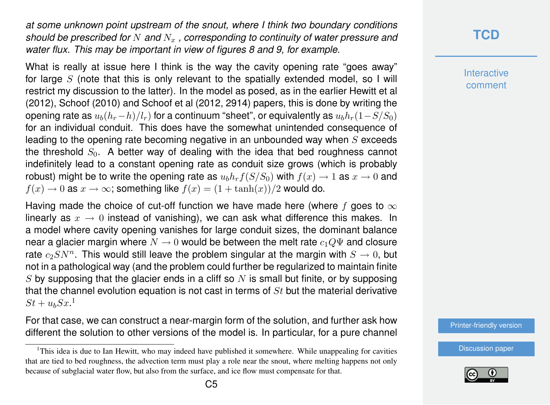*at some unknown point upstream of the snout, where I think two boundary conditions should be prescribed for* N *and*  $N_x$ , corresponding to continuity of water pressure and *water flux. This may be important in view of figures 8 and 9, for example.*

What is really at issue here I think is the way the cavity opening rate "goes away" for large  $S$  (note that this is only relevant to the spatially extended model, so I will restrict my discussion to the latter). In the model as posed, as in the earlier Hewitt et al (2012), Schoof (2010) and Schoof et al (2012, 2914) papers, this is done by writing the opening rate as  $u_b(h_r-h)/l_r$ ) for a continuum "sheet", or equivalently as  $u_bh_r(1-S/S_0)$ for an individual conduit. This does have the somewhat unintended consequence of leading to the opening rate becoming negative in an unbounded way when  $S$  exceeds the threshold  $S_0$ . A better way of dealing with the idea that bed roughness cannot indefinitely lead to a constant opening rate as conduit size grows (which is probably robust) might be to write the opening rate as  $u_b h_r f(S/S_0)$  with  $f(x) \to 1$  as  $x \to 0$  and  $f(x) \to 0$  as  $x \to \infty$ ; something like  $f(x) = (1 + \tanh(x))/2$  would do.

Having made the choice of cut-off function we have made here (where f goes to  $\infty$ linearly as  $x \to 0$  instead of vanishing), we can ask what difference this makes. In a model where cavity opening vanishes for large conduit sizes, the dominant balance near a glacier margin where  $N \to 0$  would be between the melt rate  $c_1Q\Psi$  and closure rate  $c_2SN^n$ . This would still leave the problem singular at the margin with  $S\rightarrow 0,$  but not in a pathological way (and the problem could further be regularized to maintain finite  $S$  by supposing that the glacier ends in a cliff so  $N$  is small but finite, or by supposing that the channel evolution equation is not cast in terms of  $St$  but the material derivative  $St + u_b S x$ <sup>1</sup>

For that case, we can construct a near-margin form of the solution, and further ask how different the solution to other versions of the model is. In particular, for a pure channel

#### **[TCD](https://www.the-cryosphere-discuss.net/)**

**Interactive** comment

[Printer-friendly version](https://www.the-cryosphere-discuss.net/tc-2019-138/tc-2019-138-AC1-print.pdf)



<sup>&</sup>lt;sup>1</sup>This idea is due to Ian Hewitt, who may indeed have published it somewhere. While unappealing for cavities that are tied to bed roughness, the advection term must play a role near the snout, where melting happens not only because of subglacial water flow, but also from the surface, and ice flow must compensate for that.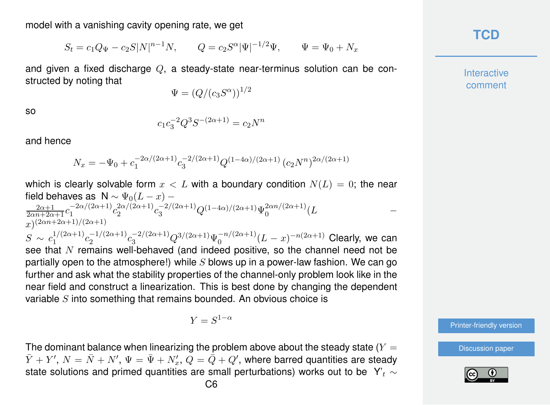model with a vanishing cavity opening rate, we get

$$
S_t = c_1 Q_{\Psi} - c_2 S |N|^{n-1} N, \qquad Q = c_2 S^{\alpha} |\Psi|^{-1/2} \Psi, \qquad \Psi = \Psi_0 + N_x
$$

and given a fixed discharge  $Q$ , a steady-state near-terminus solution can be constructed by noting that

 $\Psi = (Q/(c_3 S^{\alpha}))^{1/2}$ 

so

$$
c_1 c_3^{-2} Q^3 S^{-(2\alpha+1)} = c_2 N^n
$$

and hence

$$
N_x = -\Psi_0 + c_1^{-2\alpha/(2\alpha+1)} c_3^{-2/(2\alpha+1)} Q^{(1-4\alpha)/(2\alpha+1)} (c_2 N^n)^{2\alpha/(2\alpha+1)}
$$

which is clearly solvable form  $x < L$  with a boundary condition  $N(L) = 0$ ; the near field behaves as N  $\sim \Psi_0(L-x)$  –  $\frac{2\alpha+1}{2\alpha n+2\alpha+1}c_1^{-2\alpha/(2\alpha+1)}$  $\frac{-2\alpha}{12}$ <sup>-2α</sup>/(2α+1)</sub>  $\frac{2\alpha/(2\alpha+1)}{2}c_3^{-2/(2\alpha+1)}Q^{(1-4\alpha)/(2\alpha+1)}\Psi_0^{2\alpha n/(2\alpha+1)}$  $\int_0^{2\alpha n/(2\alpha+1)} (L$  –  $(x)^{(2\alpha n+2\alpha+1)/(2\alpha+1)}$  $S \sim c_1^{1/(2\alpha+1)}$  $c_1^{1/(2\alpha+1)}c_2^{-1/(2\alpha+1)}$  $2^{-1/(2\alpha+1)}c_3^{-2/(2\alpha+1)}Q^{3/(2\alpha+1)}\Psi_0^{-n/(2\alpha+1)}$  $\int_0^{-n/(2\alpha+1)}(L-x)^{-n(2\alpha+1)}$  Clearly, we can see that N remains well-behaved (and indeed positive, so the channel need not be partially open to the atmosphere!) while  $S$  blows up in a power-law fashion. We can go further and ask what the stability properties of the channel-only problem look like in the near field and construct a linearization. This is best done by changing the dependent variable  $S$  into something that remains bounded. An obvious choice is

$$
Y = S^{1-\alpha}
$$

The dominant balance when linearizing the problem above about the steady state  $(Y =$  $\bar{Y}+Y',\,N=\bar{N}+N',\,\Psi=\bar{\Psi}+N'_x,\,\bar{Q}=\dot{\bar{Q}}+Q',$  where barred quantities are steady state solutions and primed quantities are small perturbations) works out to be Y'<sub>t</sub>  $\sim$  **[TCD](https://www.the-cryosphere-discuss.net/)**

**Interactive** comment

[Printer-friendly version](https://www.the-cryosphere-discuss.net/tc-2019-138/tc-2019-138-AC1-print.pdf)

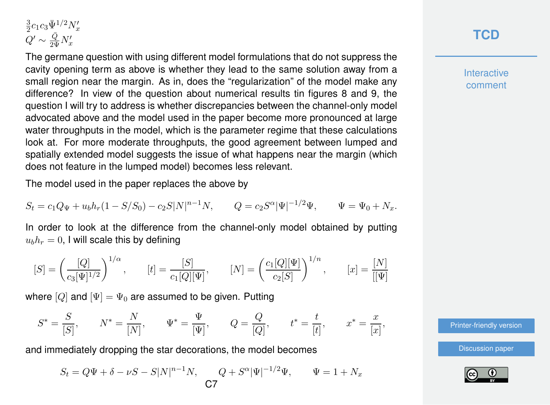$$
\begin{array}{l} \frac{3}{2} c_1 c_3 \bar{\Psi}^{1/2} N_x' \\ Q' \sim \frac{\bar{Q}}{2 \bar{\Psi}} N_x' \end{array}
$$

The germane question with using different model formulations that do not suppress the cavity opening term as above is whether they lead to the same solution away from a small region near the margin. As in, does the "regularization" of the model make any difference? In view of the question about numerical results tin figures 8 and 9, the question I will try to address is whether discrepancies between the channel-only model advocated above and the model used in the paper become more pronounced at large water throughputs in the model, which is the parameter regime that these calculations look at. For more moderate throughputs, the good agreement between lumped and spatially extended model suggests the issue of what happens near the margin (which does not feature in the lumped model) becomes less relevant.

The model used in the paper replaces the above by

$$
S_t = c_1 Q_{\Psi} + u_b h_r (1 - S/S_0) - c_2 S |N|^{n-1} N, \qquad Q = c_2 S^{\alpha} |\Psi|^{-1/2} \Psi, \qquad \Psi = \Psi_0 + N_x.
$$

In order to look at the difference from the channel-only model obtained by putting  $u_b h_r = 0$ , I will scale this by defining

$$
[S] = \left(\frac{[Q]}{c_3[\Psi]^{1/2}}\right)^{1/\alpha}, \qquad [t] = \frac{[S]}{c_1[Q][\Psi]}, \qquad [N] = \left(\frac{c_1[Q][\Psi]}{c_2[S]}\right)^{1/n}, \qquad [x] = \frac{[N]}{[[\Psi]}
$$

where  $[Q]$  and  $[\Psi] = \Psi_0$  are assumed to be given. Putting

$$
S^* = \frac{S}{[S]}, \qquad N^* = \frac{N}{[N]}, \qquad \Psi^* = \frac{\Psi}{[\Psi]}, \qquad Q = \frac{Q}{[Q]}, \qquad t^* = \frac{t}{[t]}, \qquad x^* = \frac{x}{[x]},
$$

and immediately dropping the star decorations, the model becomes

$$
S_t = Q\Psi + \delta - \nu S - S|N|^{n-1}N, \quad Q + S^{\alpha}|\Psi|^{-1/2}\Psi, \quad \Psi = 1 + N_x
$$

## **[TCD](https://www.the-cryosphere-discuss.net/)**

**Interactive** comment

[Printer-friendly version](https://www.the-cryosphere-discuss.net/tc-2019-138/tc-2019-138-AC1-print.pdf)

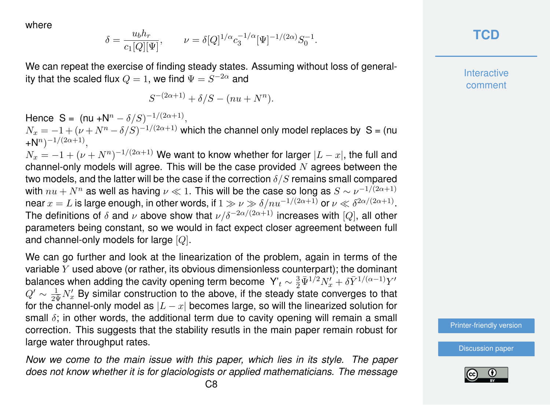where

$$
\delta = \frac{u_b h_r}{c_1[Q][\Psi]}, \qquad \nu = \delta [Q]^{1/\alpha} c_3^{-1/\alpha} [\Psi]^{-1/(2\alpha)} S_0^{-1}.
$$

We can repeat the exercise of finding steady states. Assuming without loss of generality that the scaled flux  $Q=1,$  we find  $\Psi=S^{-2\alpha}$  and

$$
S^{-(2\alpha+1)} + \delta/S - (nu + N^n).
$$

Hence S = (nu + $N^n - \delta/S$ )<sup>-1/(2 $\alpha$ +1)</sup>,  $N_x = -1 + (\nu + N^n - \delta/S)^{-1/(2\alpha+1)}$  which the channel only model replaces by S = (nu  $+N^{n})^{-1/(2\alpha+1)},$  $N_x = -1 + (\nu + N^n)^{-1/(2\alpha+1)}$  We want to know whether for larger  $|L-x|,$  the full and channel-only models will agree. This will be the case provided  $N$  agrees between the two models, and the latter will be the case if the correction  $\delta/S$  remains small compared with  $nu+N^n$  as well as having  $\nu\ll 1.$  This will be the case so long as  $S\sim \nu^{-1/(2\alpha+1)}$ near  $x=L$  is large enough, in other words, if  $1\gg \nu \gg \delta/nu^{-1/(2\alpha+1)}$  or  $\nu \ll \delta^{2\alpha/(2\alpha+1)}.$ The definitions of  $\delta$  and  $\nu$  above show that  $\nu/\delta^{-2\alpha/(2\alpha+1)}$  increases with [Q], all other parameters being constant, so we would in fact expect closer agreement between full and channel-only models for large [Q].

We can go further and look at the linearization of the problem, again in terms of the variable  $Y$  used above (or rather, its obvious dimensionless counterpart); the dominant balances when adding the cavity opening term become  $\;{\sf Y}'_t\sim\frac32\bar\Psi^{1/2}N'_x+\delta\bar Y^{1/(\alpha-1)}Y'$  $Q' \sim \frac{1}{2\Psi} N'_x$  By similar construction to the above, if the steady state converges to that for the channel-only model as  $|L - x|$  becomes large, so will the linearized solution for small  $\delta$ ; in other words, the additional term due to cavity opening will remain a small correction. This suggests that the stability resutls in the main paper remain robust for large water throughput rates.

*Now we come to the main issue with this paper, which lies in its style. The paper does not know whether it is for glaciologists or applied mathematicians. The message*

**[TCD](https://www.the-cryosphere-discuss.net/)**

**Interactive** comment

[Printer-friendly version](https://www.the-cryosphere-discuss.net/tc-2019-138/tc-2019-138-AC1-print.pdf)

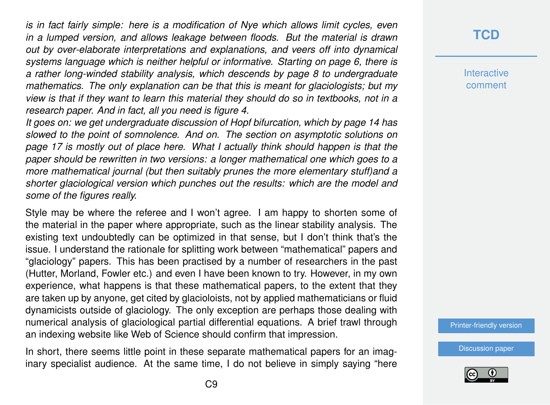*is in fact fairly simple: here is a modification of Nye which allows limit cycles, even in a lumped version, and allows leakage between floods. But the material is drawn out by over-elaborate interpretations and explanations, and veers off into dynamical systems language which is neither helpful or informative. Starting on page 6, there is a rather long-winded stability analysis, which descends by page 8 to undergraduate mathematics. The only explanation can be that this is meant for glaciologists; but my view is that if they want to learn this material they should do so in textbooks, not in a research paper. And in fact, all you need is figure 4.*

*It goes on: we get undergraduate discussion of Hopf bifurcation, which by page 14 has slowed to the point of somnolence. And on. The section on asymptotic solutions on page 17 is mostly out of place here. What I actually think should happen is that the paper should be rewritten in two versions: a longer mathematical one which goes to a more mathematical journal (but then suitably prunes the more elementary stuff)and a shorter glaciological version which punches out the results: which are the model and some of the figures really.*

Style may be where the referee and I won't agree. I am happy to shorten some of the material in the paper where appropriate, such as the linear stability analysis. The existing text undoubtedly can be optimized in that sense, but I don't think that's the issue. I understand the rationale for splitting work between "mathematical" papers and "glaciology" papers. This has been practised by a number of researchers in the past (Hutter, Morland, Fowler etc.) and even I have been known to try. However, in my own experience, what happens is that these mathematical papers, to the extent that they are taken up by anyone, get cited by glacioloists, not by applied mathematicians or fluid dynamicists outside of glaciology. The only exception are perhaps those dealing with numerical analysis of glaciological partial differential equations. A brief trawl through an indexing website like Web of Science should confirm that impression.

In short, there seems little point in these separate mathematical papers for an imaginary specialist audience. At the same time, I do not believe in simply saying "here **[TCD](https://www.the-cryosphere-discuss.net/)**

**Interactive** comment

[Printer-friendly version](https://www.the-cryosphere-discuss.net/tc-2019-138/tc-2019-138-AC1-print.pdf)